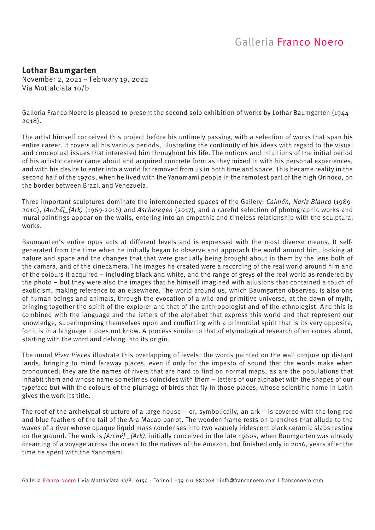#### **Lothar Baumgarten**

November 2, 2021 – February 19, 2022 Via Mottalciata 10/b

Galleria Franco Noero is pleased to present the second solo exhibition of works by Lothar Baumgarten (1944– 2018).

The artist himself conceived this project before his untimely passing, with a selection of works that span his entire career. It covers all his various periods, illustrating the continuity of his ideas with regard to the visual and conceptual issues that interested him throughout his life. The notions and intuitions of the initial period of his artistic career came about and acquired concrete form as they mixed in with his personal experiences, and with his desire to enter into a world far removed from us in both time and space. This became reality in the second half of the 1970s, when he lived with the Yanomami people in the remotest part of the high Orinoco, on the border between Brazil and Venezuela.

Three important sculptures dominate the interconnected spaces of the Gallery: *Caimán, Nariz Blanca* (1989- 2010), *[Arché]\_(Ark)* (1969-2016) and *Ascheregen* (2017), and a careful selection of photographic works and mural paintings appear on the walls, entering into an empathic and timeless relationship with the sculptural works.

Baumgarten's entire opus acts at different levels and is expressed with the most diverse means. It selfgenerated from the time when he initially began to observe and approach the world around him, looking at nature and space and the changes that that were gradually being brought about in them by the lens both of the camera, and of the cinecamera. The images he created were a recording of the real world around him and of the colours it acquired – including black and white, and the range of greys of the real world as rendered by the photo – but they were also the images that he himself imagined with allusions that contained a touch of exoticism, making reference to an elsewhere. The world around us, which Baumgarten observes, is also one of human beings and animals, through the evocation of a wild and primitive universe, at the dawn of myth, bringing together the spirit of the explorer and that of the anthropologist and of the ethnologist. And this is combined with the language and the letters of the alphabet that express this world and that represent our knowledge, superimposing themselves upon and conflicting with a primordial spirit that is its very opposite, for it is in a language it does not know. A process similar to that of etymological research often comes about, starting with the word and delving into its origin.

The mural *River Pieces* illustrate this overlapping of levels: the words painted on the wall conjure up distant lands, bringing to mind faraway places, even if only for the impasto of sound that the words make when pronounced: they are the names of rivers that are hard to find on normal maps, as are the populations that inhabit them and whose name sometimes coincides with them – letters of our alphabet with the shapes of our typeface but with the colours of the plumage of birds that fly in those places, whose scientific name in Latin gives the work its title.

The roof of the archetypal structure of a large house – or, symbolically, an ark – is covered with the long red and blue feathers of the tail of the Ara Macao parrot. The wooden frame rests on branches that allude to the waves of a river whose opaque liquid mass condenses into two vaguely iridescent black ceramic slabs resting on the ground. The work is *[Arché] \_(Ark)*, initially conceived in the late 1960s, when Baumgarten was already dreaming of a voyage across the ocean to the natives of the Amazon, but finished only in 2016, years after the time he spent with the Yanomami.

Galleria Franco Noero | Via Mottalciata 10/B 10154 - Torino | +39 011 882208 | info@franconoero.com | franconoero.com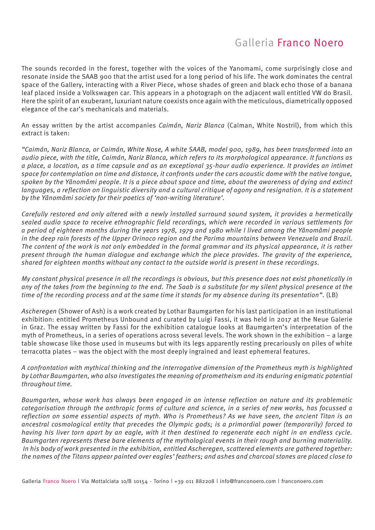The sounds recorded in the forest, together with the voices of the Yanomami, come surprisingly close and resonate inside the SAAB 900 that the artist used for a long period of his life. The work dominates the central space of the Gallery, interacting with a River Piece, whose shades of green and black echo those of a banana leaf placed inside a Volkswagen car. This appears in a photograph on the adjacent wall entitled VW do Brasil. Here the spirit of an exuberant, luxuriant nature coexists once again with the meticulous, diametrically opposed elegance of the car's mechanicals and materials.

An essay written by the artist accompanies *Caimán, Nariz Blanca* (Caiman, White Nostril), from which this extract is taken:

*"Caimán, Nariz Blanca, or Caimán, White Nose, A white SAAB, model 900, 1989, has been transformed into an audio piece, with the title, Caimán, Nariz Blanca, which refers to its morphological appearance. It functions as a place, a location, as a time capsule and as an exceptional 35-hour audio experience. It provides an intimet space for contemplation on time and distance, it confronts under the cars acoustic dome with the native tongue, spoken by the Yãnomãmi people. It is a piece about space and time, about the awareness of dying and extinct*  languages, a reflection on linguistic diversity and a cultural critique of agony and resignation. It is a statement *by the Yãnomãmi society for their poetics of 'non-writing literature'.*

*Carefully restored and only altered with a newly installed surround sound system, it provides a hermetically sealed audio space to receive ethnographic field recordings, which were recorded in various settlements for a period of eighteen months during the years 1978, 1979 and 1980 while I lived among the Yãnomãmi people in the deep rain forests of the Upper Orinoco region and the Parima mountains between Venezuela and Brazil. The content of the work is not only embedded in the formal grammar and its physical appearance, it is rather present through the human dialogue and exchange which the piece provides. The gravity of the experience, shared for eighteen months without any contact to the outside world is present in these recordings.* 

*My constant physical presence in all the recordings is obvious, but this presence does not exist phonetically in any of the takes from the beginning to the end. The Saab is a substitute for my silent physical presence at the time of the recording process and at the same time it stands for my absence during its presentation"*. (LB)

*Ascheregen* (Shower of Ash) is a work created by Lothar Baumgarten for his last participation in an institutional exhibition: entitled Prometheus Unbound and curated by Luigi Fassi, it was held in 2017 at the Neue Galerie in Graz. The essay written by Fassi for the exhibition catalogue looks at Baumgarten's interpretation of the myth of Prometheus, in a series of operations across several levels. The work shown in the exhibition – a large table showcase like those used in museums but with its legs apparently resting precariously on piles of white terracotta plates – was the object with the most deeply ingrained and least ephemeral features.

*A confrontation with mythical thinking and the interrogative dimension of the Prometheus myth is highlighted by Lothar Baumgarten, who also investigates the meaning of prometheism and its enduring enigmatic potential throughout time.* 

*Baumgarten, whose work has always been engaged in an intense reflection on nature and its problematic categorisation through the anthropic forms of culture and science, in a series of new works, has focussed a reflection on some essential aspects of myth. Who is Prometheus? As we have seen, the ancient Titan is an ancestral cosmological entity that precedes the Olympic gods; is a primordial power (temporarily) forced to having his liver torn apart by an eagle, with it then destined to regenerate each night in an endless cycle. Baumgarten represents these bare elements of the mythological events in their rough and burning materiality. In his body of work presented in the exhibition, entitled Ascheregen, scattered elements are gathered together: the names of the Titans appear painted over eagles' feathers; and ashes and charcoal stones are placed close to* 

Galleria Franco Noero | Via Mottalciata 10/B 10154 - Torino | +39 011 882208 | info@franconoero.com | franconoero.com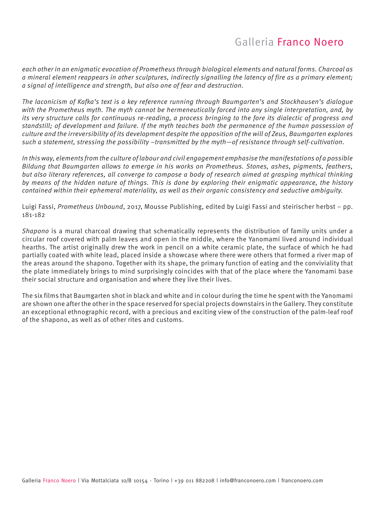*each other in an enigmatic evocation of Prometheus through biological elements and natural forms. Charcoal as a mineral element reappears in other sculptures, indirectly signalling the latency of fire as a primary element; a signal of intelligence and strength, but also one of fear and destruction.* 

*The laconicism of Kafka's text is a key reference running through Baumgarten's and Stockhausen's dialogue with the Prometheus myth. The myth cannot be hermeneutically forced into any single interpretation, and, by its very structure calls for continuous re-reading, a process bringing to the fore its dialectic of progress and standstill; of development and failure. If the myth teaches both the permanence of the human possession of culture and the irreversibility of its development despite the opposition of the will of Zeus, Baumgarten explores such a statement, stressing the possibility –transmitted by the myth—of resistance through self-cultivation.* 

*In this way, elements from the culture of labour and civil engagement emphasise the manifestations of a possible Bildung that Baumgarten allows to emerge in his works on Prometheus. Stones, ashes, pigments, feathers, but also literary references, all converge to compose a body of research aimed at grasping mythical thinking by means of the hidden nature of things. This is done by exploring their enigmatic appearance, the history contained within their ephemeral materiality, as well as their organic consistency and seductive ambiguity.* 

Luigi Fassi, *Prometheus Unbound*, 2017, Mousse Publishing, edited by Luigi Fassi and steirischer herbst – pp. 181-182

*Shapono* is a mural charcoal drawing that schematically represents the distribution of family units under a circular roof covered with palm leaves and open in the middle, where the Yanomami lived around individual hearths. The artist originally drew the work in pencil on a white ceramic plate, the surface of which he had partially coated with white lead, placed inside a showcase where there were others that formed a river map of the areas around the shapono. Together with its shape, the primary function of eating and the conviviality that the plate immediately brings to mind surprisingly coincides with that of the place where the Yanomami base their social structure and organisation and where they live their lives.

The six films that Baumgarten shot in black and white and in colour during the time he spent with the Yanomami are shown one after the other in the space reserved for special projects downstairs in the Gallery. They constitute an exceptional ethnographic record, with a precious and exciting view of the construction of the palm-leaf roof of the shapono, as well as of other rites and customs.